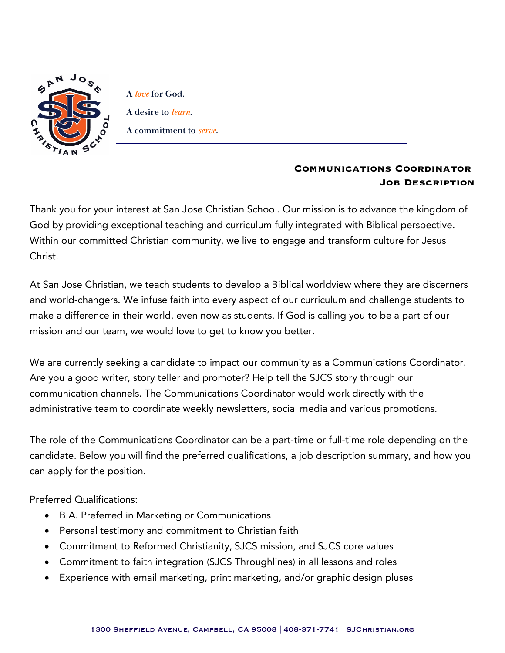

**A** *love* **for God. A desire to** *learn***. A commitment to** *serve***.**

## **Communications Coordinator Job Description**

Thank you for your interest at San Jose Christian School. Our mission is to advance the kingdom of God by providing exceptional teaching and curriculum fully integrated with Biblical perspective. Within our committed Christian community, we live to engage and transform culture for Jesus Christ.

At San Jose Christian, we teach students to develop a Biblical worldview where they are discerners and world-changers. We infuse faith into every aspect of our curriculum and challenge students to make a difference in their world, even now as students. If God is calling you to be a part of our mission and our team, we would love to get to know you better.

We are currently seeking a candidate to impact our community as a Communications Coordinator. Are you a good writer, story teller and promoter? Help tell the SJCS story through our communication channels. The Communications Coordinator would work directly with the administrative team to coordinate weekly newsletters, social media and various promotions.

The role of the Communications Coordinator can be a part-time or full-time role depending on the candidate. Below you will find the preferred qualifications, a job description summary, and how you can apply for the position.

## Preferred Qualifications:

- B.A. Preferred in Marketing or Communications
- Personal testimony and commitment to Christian faith
- Commitment to Reformed Christianity, SJCS mission, and SJCS core values
- Commitment to faith integration (SJCS Throughlines) in all lessons and roles
- Experience with email marketing, print marketing, and/or graphic design pluses